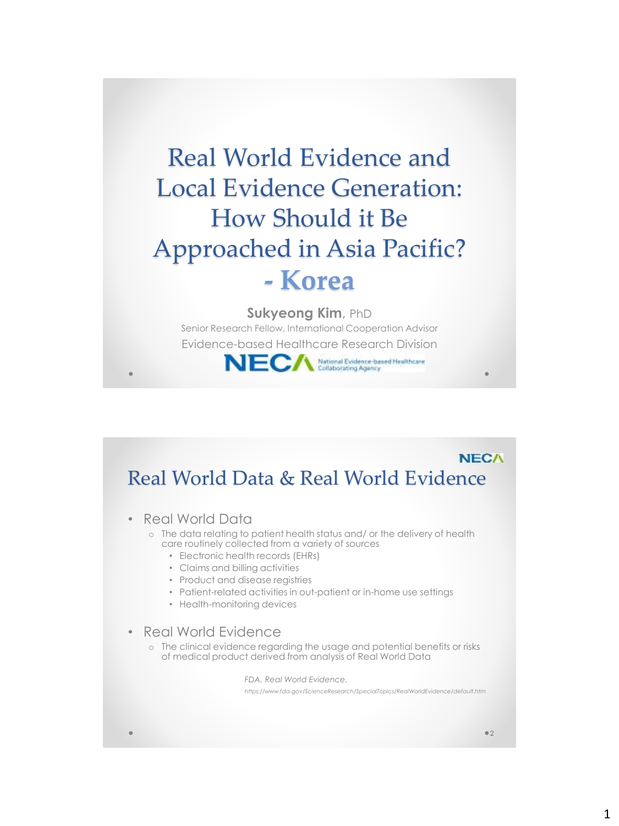# Real World Evidence and Local Evidence Generation: How Should it Be Approached in Asia Pacific? **- Korea**

#### **Sukyeong Kim**, PhD

Senior Research Fellow, International Cooperation Advisor Evidence-based Healthcare Research Division



### **NECA** Real World Data & Real World Evidence

- Real World Data
	- o The data relating to patient health status and/ or the delivery of health care routinely collected from a variety of sources
		- Electronic health records (EHRs)
		- Claims and billing activities
		- Product and disease registries
		- Patient-related activities in out-patient or in-home use settings
		- Health-monitoring devices
- Real World Evidence
	- o The clinical evidence regarding the usage and potential benefits or risks of medical product derived from analysis of Real World Data

*FDA. Real World Evidence. https://www.fda.gov/ScienceResearch/SpecialTopics/RealWorldEvidence/default.htm*

 $\bullet$  2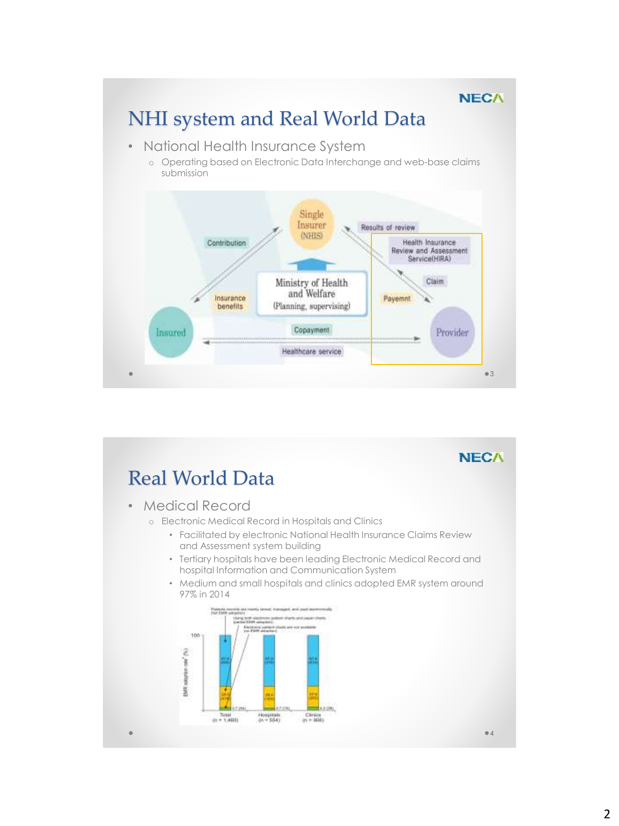## NHI system and Real World Data

- National Health Insurance System
	- o Operating based on Electronic Data Interchange and web-base claims submission



**NECA** 

# Real World Data

• Medical Record

- o Electronic Medical Record in Hospitals and Clinics
	- Facilitated by electronic National Health Insurance Claims Review and Assessment system building
	- Tertiary hospitals have been leading Electronic Medical Record and hospital Information and Communication System
	- Medium and small hospitals and clinics adopted EMR system around 97% in 2014



4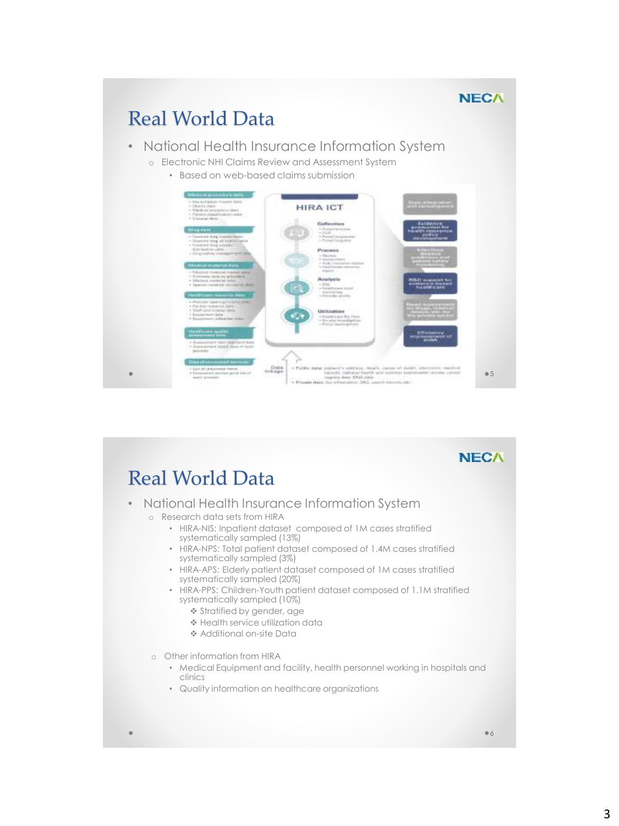### Real World Data

#### • National Health Insurance Information System

- o Electronic NHI Claims Review and Assessment System
	- Based on web-based claims submission



### **NECA**

### Real World Data

- National Health Insurance Information System o Research data sets from HIRA
	- HIRA-NIS: Inpatient dataset composed of 1M cases stratified systematically sampled (13%)
	- HIRA-NPS: Total patient dataset composed of 1.4M cases stratified systematically sampled (3%)
	- HIRA-APS: Elderly patient dataset composed of 1M cases stratified systematically sampled (20%)
	- HIRA-PPS: Children-Youth patient dataset composed of 1.1M stratified systematically sampled (10%)
		- Stratified by gender, age
		- \* Health service utilization data
		- Additional on-site Data
	- o Other information from HIRA
		- Medical Equipment and facility, health personnel working in hospitals and clinics
		- Quality information on healthcare organizations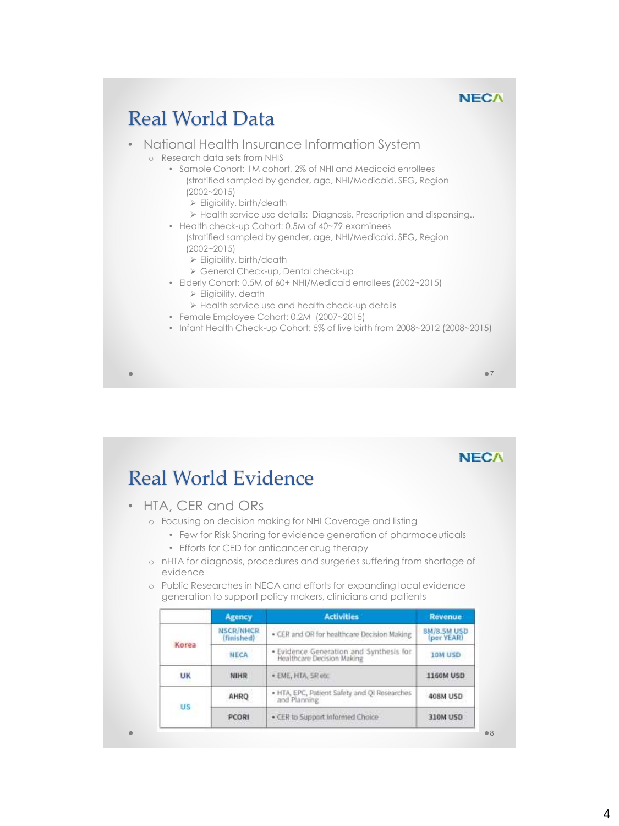## Real World Data

#### • National Health Insurance Information System

- o Research data sets from NHIS
	- Sample Cohort: 1M cohort, 2% of NHI and Medicaid enrollees (stratified sampled by gender, age, NHI/Medicaid, SEG, Region
		- (2002~2015)
		- Eligibility, birth/death
		- > Health service use details: Diagnosis, Prescription and dispensing...
	- Health check-up Cohort: 0.5M of 40~79 examinees (stratified sampled by gender, age, NHI/Medicaid, SEG, Region
		- (2002~2015)
		- Eligibility, birth/death
		- General Check-up, Dental check-up
	- Elderly Cohort: 0.5M of 60+ NHI/Medicaid enrollees (2002~2015)
		- Eligibility, death
		- Health service use and health check-up details
	- Female Employee Cohort: 0.2M (2007~2015)
	- Infant Health Check-up Cohort: 5% of live birth from 2008~2012 (2008~2015)

7

### **NECA**

8

# Real World Evidence

- HTA, CER and ORs
	- o Focusing on decision making for NHI Coverage and listing
		- Few for Risk Sharing for evidence generation of pharmaceuticals
		- Efforts for CED for anticancer drug therapy
	- o nHTA for diagnosis, procedures and surgeries suffering from shortage of evidence
	- o Public Researches in NECA and efforts for expanding local evidence generation to support policy makers, clinicians and patients

|           | <b>Agency</b>                  | <b>Activities</b>                                                     | <b>Revenue</b>                   |
|-----------|--------------------------------|-----------------------------------------------------------------------|----------------------------------|
| Korea     | <b>NSCR/NHCR</b><br>(finished) | . CER and OR for healthcare Decision Making                           | <b>BM/8.5M USD</b><br>(per YEAR) |
|           | <b>NECA</b>                    | . Evidence Generation and Synthesis for<br>Healthcare Decision Making | <b>10M USD</b>                   |
| UK        | NIHR                           | · EME, HTA, SR etc.                                                   | <b>1160M USD</b>                 |
| <b>US</b> | AHRO                           | . HTA, EPC, Patient Safety and QI Researches<br>and Planning          | 408M USD                         |
|           | PCORI                          | . CER to Support Informed Choice                                      | 310M USD                         |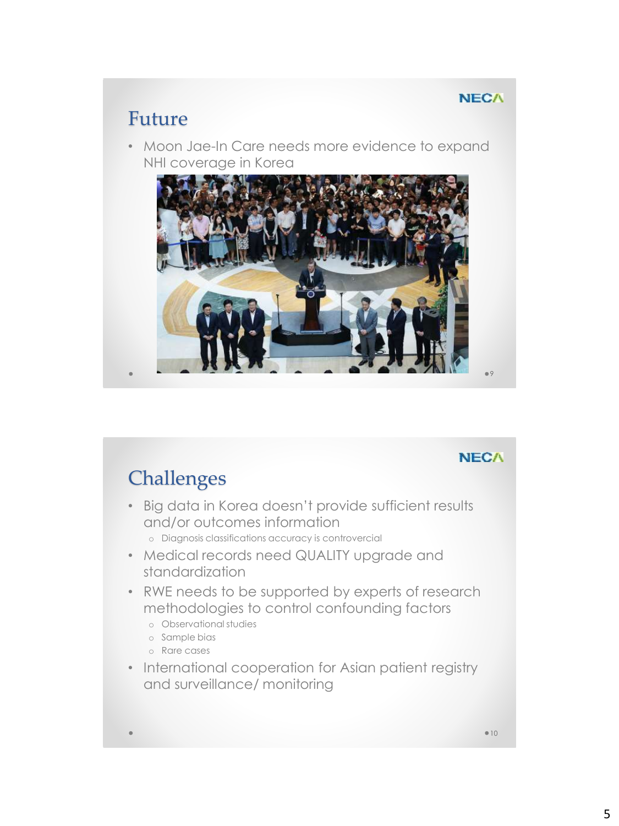### Future

• Moon Jae-In Care needs more evidence to expand NHI coverage in Korea



#### **NECA**

9

# **Challenges**

- Big data in Korea doesn't provide sufficient results and/or outcomes information o Diagnosis classifications accuracy is controvercial
- Medical records need QUALITY upgrade and standardization
- RWE needs to be supported by experts of research methodologies to control confounding factors
	- o Observational studies
	- o Sample bias
	- o Rare cases
- International cooperation for Asian patient registry and surveillance/ monitoring

 $010$